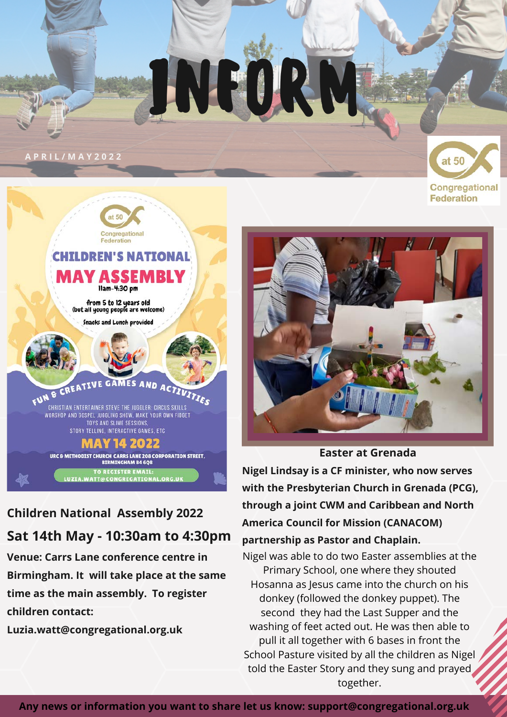# INFOR

#### **A P R I L / M A Y 2 0 2 2**

A



### **Children National Assembly 2022 Sat 14th May - 10:30am to 4:30pm**

**Venue: Carrs Lane conference centre in Birmingham. It will take place at the same time as the main assembly. To register children contact:**

**Luzia.watt@congregational.org.uk**



Congregational **Federation** 



**Easter at Grenada**

**Nigel Lindsay is a CF minister, who now serves with the Presbyterian Church in Grenada (PCG), through a joint CWM and Caribbean and North America Council for Mission (CANACOM) partnership as Pastor and Chaplain.**

Nigel was able to do two Easter assemblies at the Primary School, one where they shouted Hosanna as Jesus came into the church on his donkey (followed the donkey puppet). The second they had the Last Supper and the washing of feet acted out. He was then able to pull it all together with 6 bases in front the School Pasture visited by all the children as Nigel told the Easter Story and they sung and prayed together.